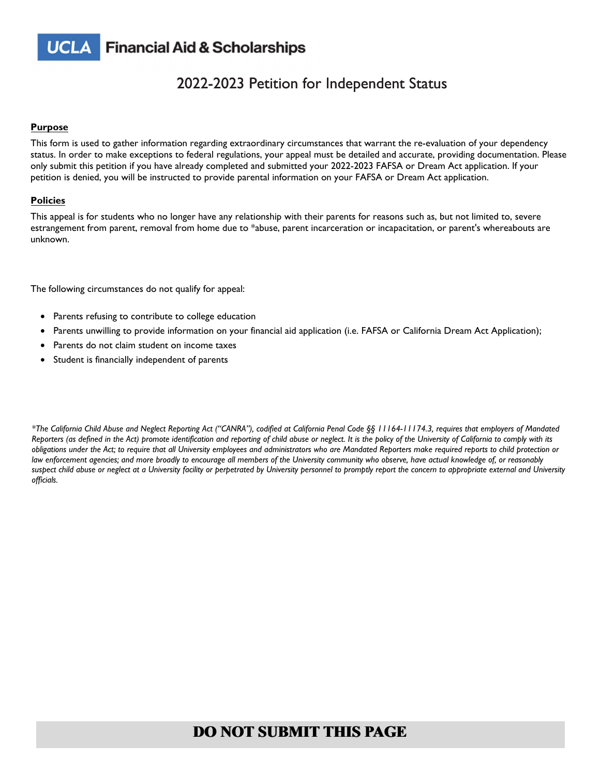

### 2022-2023 Petition for Independent Status 2

#### **Purpose**

This form is used to gather information regarding extraordinary circumstances that warrant the re-evaluation of your dependency status. In order to make exceptions to federal regulations, your appeal must be detailed and accurate, providing documentation. Please only submit this petition if you have already completed and submitted your 2022-2023 FAFSA or Dream Act application. If your petition is denied, you will be instructed to provide parental information on your FAFSA or Dream Act application.

#### **Policies**

This appeal is for students who no longer have any relationship with their parents for reasons such as, but not limited to, severe estrangement from parent, removal from home due to \*abuse, parent incarceration or incapacitation, or parent's whereabouts are unknown.

The following circumstances do not qualify for appeal:

- Parents refusing to contribute to college education
- Parents unwilling to provide information on your financial aid application (i.e. FAFSA or California Dream Act Application);
- Parents do not claim student on income taxes
- Student is financially independent of parents

*\*The California Child Abuse and Neglect Reporting Act ("CANRA"), codified at California Penal Code §§ 11164-11174.3, requires that employers of Mandated Reporters (as defined in the Act) promote identification and reporting of child abuse or neglect. It is the policy of the University of California to comply with its obligations under the Act; to require that all University employees and administrators who are Mandated Reporters make required reports to child protection or law enforcement agencies; and more broadly to encourage all members of the University community who observe, have actual knowledge of, or reasonably suspect child abuse or neglect at a University facility or perpetrated by University personnel to promptly report the concern to appropriate external and University officials.*

### **DO NOT SUBMIT THIS PAGE**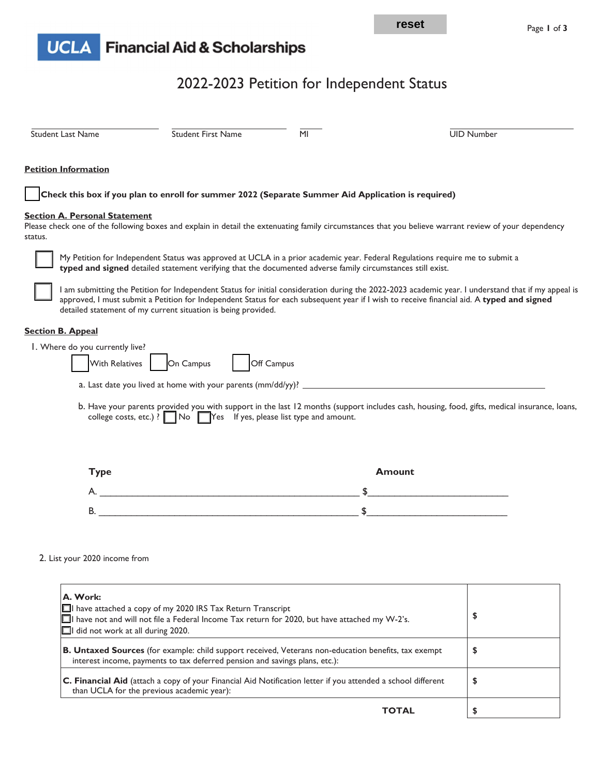

# **UCLA** Financial Aid & Scholarships

# 2022-2023 Petition for Independent Status

| <b>Student Last Name</b>                                 | Student First Name                                                                                          | MI             | <b>UID Number</b>                                                                                                                                                                                                                                                                                |
|----------------------------------------------------------|-------------------------------------------------------------------------------------------------------------|----------------|--------------------------------------------------------------------------------------------------------------------------------------------------------------------------------------------------------------------------------------------------------------------------------------------------|
| <b>Petition Information</b>                              |                                                                                                             |                |                                                                                                                                                                                                                                                                                                  |
|                                                          | Check this box if you plan to enroll for summer 2022 (Separate Summer Aid Application is required)          |                |                                                                                                                                                                                                                                                                                                  |
| <b>Section A. Personal Statement</b><br>status.          |                                                                                                             |                | Please check one of the following boxes and explain in detail the extenuating family circumstances that you believe warrant review of your dependency                                                                                                                                            |
|                                                          | typed and signed detailed statement verifying that the documented adverse family circumstances still exist. |                | My Petition for Independent Status was approved at UCLA in a prior academic year. Federal Regulations require me to submit a                                                                                                                                                                     |
|                                                          | detailed statement of my current situation is being provided.                                               |                | I am submitting the Petition for Independent Status for initial consideration during the 2022-2023 academic year. I understand that if my appeal is<br>approved, I must submit a Petition for Independent Status for each subsequent year if I wish to receive financial aid. A typed and signed |
| <b>Section B. Appeal</b>                                 |                                                                                                             |                |                                                                                                                                                                                                                                                                                                  |
| I. Where do you currently live?<br><b>With Relatives</b> | On Campus                                                                                                   | Off Campus     |                                                                                                                                                                                                                                                                                                  |
|                                                          |                                                                                                             |                |                                                                                                                                                                                                                                                                                                  |
|                                                          | college costs, etc.) ? $\Box$ No $\Box$ Yes If yes, please list type and amount.                            |                | b. Have your parents provided you with support in the last 12 months (support includes cash, housing, food, gifts, medical insurance, loans,                                                                                                                                                     |
| <b>Type</b>                                              |                                                                                                             |                | <b>Amount</b>                                                                                                                                                                                                                                                                                    |
|                                                          |                                                                                                             |                | the control of the control of the control of the                                                                                                                                                                                                                                                 |
|                                                          |                                                                                                             | $\mathfrak{S}$ |                                                                                                                                                                                                                                                                                                  |
|                                                          |                                                                                                             |                |                                                                                                                                                                                                                                                                                                  |
| 2. List your 2020 income from                            |                                                                                                             |                |                                                                                                                                                                                                                                                                                                  |
| A. Work:                                                 |                                                                                                             |                |                                                                                                                                                                                                                                                                                                  |

| $\Box$ have attached a copy of my 2020 IRS Tax Return Transcript<br>$\Box$ have not and will not file a Federal Income Tax return for 2020, but have attached my W-2's.<br>$\Box$ I did not work at all during 2020. | \$ |
|----------------------------------------------------------------------------------------------------------------------------------------------------------------------------------------------------------------------|----|
| B. Untaxed Sources (for example: child support received, Veterans non-education benefits, tax exempt<br>interest income, payments to tax deferred pension and savings plans, etc.):                                  | \$ |
| <b>C. Financial Aid</b> (attach a copy of your Financial Aid Notification letter if you attended a school different<br>than UCLA for the previous academic year):                                                    | \$ |
| <b>TOTAL</b>                                                                                                                                                                                                         |    |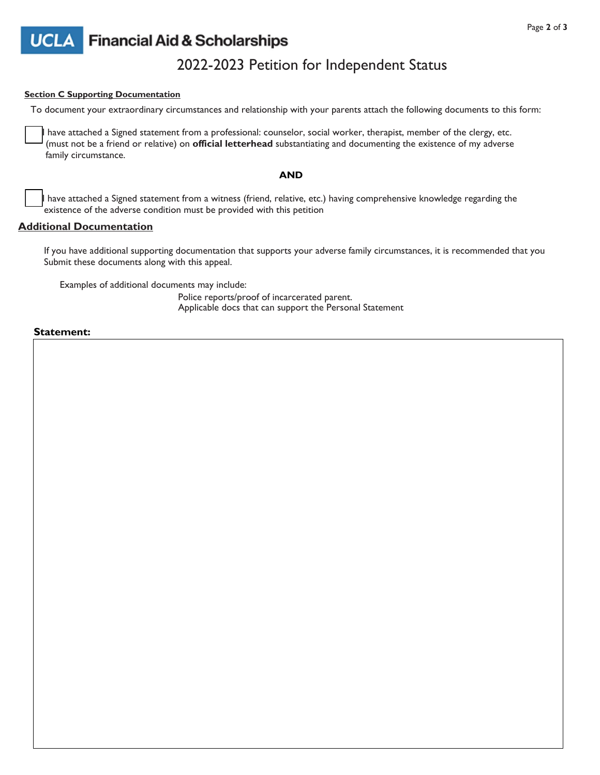

## **UCL**

### **Financial Aid & Scholarships**

### 2022-2023 Petition for Independent Status

### **Section C Supporting Documentation**

To document your extraordinary circumstances and relationship with your parents attach the following documents to this form:

have attached a Signed statement from a professional: counselor, social worker, therapist, member of the clergy, etc. (must not be a friend or relative) on **official letterhead** substantiating and documenting the existence of my adverse family circumstance.

### **AND**

have attached a Signed statement from a witness (friend, relative, etc.) having comprehensive knowledge regarding the existence of the adverse condition must be provided with this petition

### **Additional Documentation**

If you have additional supporting documentation that supports your adverse family circumstances, it is recommended that you Submit these documents along with this appeal.

Examples of additional documents may include:

Police reports/proof of incarcerated parent. Applicable docs that can support the Personal Statement

### **Statement:**